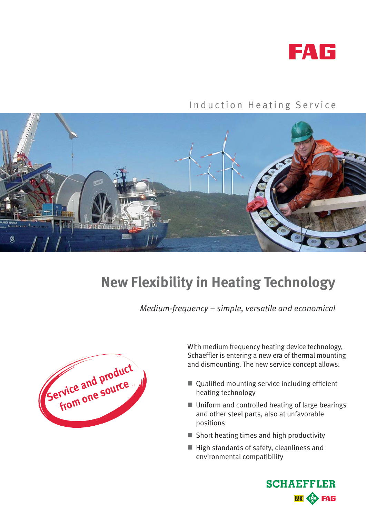

#### Induction Heating Service



# **New Flexibility in Heating Technology**

*Medium-frequency – simple, versatile and economical*



With medium frequency heating device technology, Schaeffler is entering a new era of thermal mounting and dismounting. The new service concept allows:

- $\blacksquare$  Qualified mounting service including efficient heating technology
- Uniform and controlled heating of large bearings and other steel parts, also at unfavorable positions
- $\blacksquare$  Short heating times and high productivity
- $\blacksquare$  High standards of safety, cleanliness and environmental compatibility